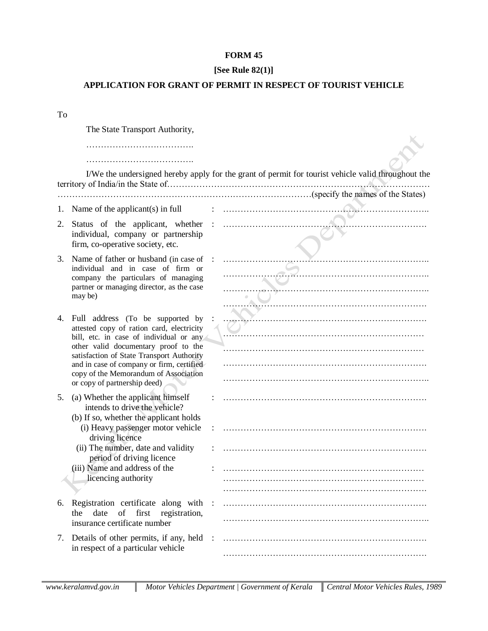## **FORM 45**

## **[See Rule 82(1)]**

## **APPLICATION FOR GRANT OF PERMIT IN RESPECT OF TOURIST VEHICLE**

To

The State Transport Authority,

……………………………….

……………………………….

| I/We the undersigned hereby apply for the grant of permit for tourist vehicle valid throughout the |
|----------------------------------------------------------------------------------------------------|
|                                                                                                    |
|                                                                                                    |

- 1. Name of the applicant(s) in full  $\vdots$   $\vdots$   $\vdots$   $\vdots$   $\vdots$   $\vdots$   $\vdots$   $\vdots$   $\vdots$   $\vdots$   $\vdots$   $\vdots$   $\vdots$   $\vdots$   $\vdots$   $\vdots$   $\vdots$   $\vdots$   $\vdots$   $\vdots$   $\vdots$   $\vdots$   $\vdots$   $\vdots$   $\vdots$   $\vdots$   $\vdots$   $\vdots$   $\vdots$   $\vdots$   $\vdots$
- 2. Status of the applicant, whether : ……………………………………………………………. individual, company or partnership firm, co-operative society, etc.
- 3. Name of father or husband (in case of : …………………………………………………………….. individual and in case of firm or company the particulars of managing partner or managing director, as the case may be)
- 4. Full address (To be supported by attested copy of ration card, electricity bill, etc. in case of individual or any other valid documentary proof to the satisfaction of State Transport Authority and in case of company or firm, certified copy of the Memorandum of Association or copy of partnership deed)
- 5. (a) Whether the applicant himself intends to drive the vehicle?
	- (b) If so, whether the applicant holds (i) Heavy passenger motor vehicle driving licence
	- (ii) The number, date and validity period of driving licence
	- (iii) Name and address of the licencing authority
- 6. Registration certificate along with the date of first registration, insurance certificate number
- 7. Details of other permits, if any, held in respect of a particular vehicle

| .<br>$\overline{a}$              |  |
|----------------------------------|--|
| $\bullet$                        |  |
|                                  |  |
| $\overline{a}$<br>$\overline{a}$ |  |
|                                  |  |
|                                  |  |
|                                  |  |
|                                  |  |
|                                  |  |
|                                  |  |
|                                  |  |
|                                  |  |
|                                  |  |
|                                  |  |
|                                  |  |
|                                  |  |
|                                  |  |
|                                  |  |
|                                  |  |
|                                  |  |
|                                  |  |
|                                  |  |
|                                  |  |
|                                  |  |
|                                  |  |
|                                  |  |
|                                  |  |
|                                  |  |
|                                  |  |

÷  $\bigcirc$